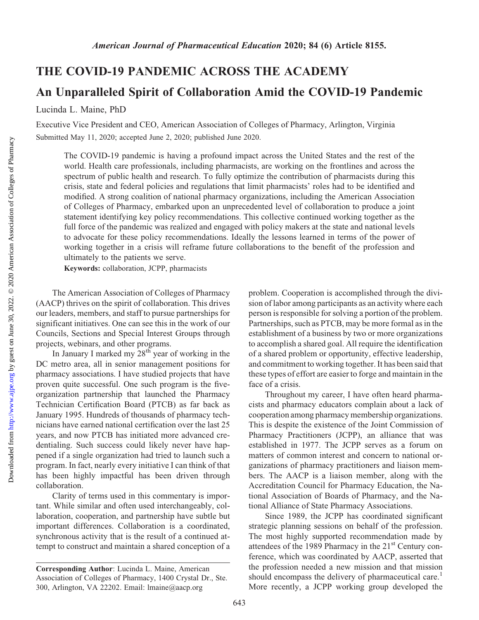## THE COVID-19 PANDEMIC ACROSS THE ACADEMY

## An Unparalleled Spirit of Collaboration Amid the COVID-19 Pandemic

Lucinda L. Maine, PhD

Executive Vice President and CEO, American Association of Colleges of Pharmacy, Arlington, Virginia Submitted May 11, 2020; accepted June 2, 2020; published June 2020.

The COVID-19 pandemic is having a profound impact across the United States and the rest of the world. Health care professionals, including pharmacists, are working on the frontlines and across the spectrum of public health and research. To fully optimize the contribution of pharmacists during this crisis, state and federal policies and regulations that limit pharmacists' roles had to be identified and modified. A strong coalition of national pharmacy organizations, including the American Association of Colleges of Pharmacy, embarked upon an unprecedented level of collaboration to produce a joint statement identifying key policy recommendations. This collective continued working together as the full force of the pandemic was realized and engaged with policy makers at the state and national levels to advocate for these policy recommendations. Ideally the lessons learned in terms of the power of working together in a crisis will reframe future collaborations to the benefit of the profession and ultimately to the patients we serve.

Keywords: collaboration, JCPP, pharmacists

The American Association of Colleges of Pharmacy (AACP) thrives on the spirit of collaboration. This drives our leaders, members, and staff to pursue partnerships for significant initiatives. One can see this in the work of our Councils, Sections and Special Interest Groups through projects, webinars, and other programs.

In January I marked my  $28<sup>th</sup>$  year of working in the DC metro area, all in senior management positions for pharmacy associations. I have studied projects that have proven quite successful. One such program is the fiveorganization partnership that launched the Pharmacy Technician Certification Board (PTCB) as far back as January 1995. Hundreds of thousands of pharmacy technicians have earned national certification over the last 25 years, and now PTCB has initiated more advanced credentialing. Such success could likely never have happened if a single organization had tried to launch such a program. In fact, nearly every initiative I can think of that has been highly impactful has been driven through collaboration.

Clarity of terms used in this commentary is important. While similar and often used interchangeably, collaboration, cooperation, and partnership have subtle but important differences. Collaboration is a coordinated, synchronous activity that is the result of a continued attempt to construct and maintain a shared conception of a

problem. Cooperation is accomplished through the division of labor among participants as an activity where each person is responsible for solving a portion of the problem. Partnerships, such as PTCB, may be more formal as in the establishment of a business by two or more organizations to accomplish a shared goal. All require the identification of a shared problem or opportunity, effective leadership, and commitment to working together. It has been said that these types of effort are easier to forge and maintain in the face of a crisis.

Throughout my career, I have often heard pharmacists and pharmacy educators complain about a lack of cooperation among pharmacy membership organizations. This is despite the existence of the Joint Commission of Pharmacy Practitioners (JCPP), an alliance that was established in 1977. The JCPP serves as a forum on matters of common interest and concern to national organizations of pharmacy practitioners and liaison members. The AACP is a liaison member, along with the Accreditation Council for Pharmacy Education, the National Association of Boards of Pharmacy, and the National Alliance of State Pharmacy Associations.

Since 1989, the JCPP has coordinated significant strategic planning sessions on behalf of the profession. The most highly supported recommendation made by attendees of the 1989 Pharmacy in the  $21<sup>st</sup>$  Century conference, which was coordinated by AACP, asserted that the profession needed a new mission and that mission should encompass the delivery of pharmaceutical care.<sup>1</sup> More recently, a JCPP working group developed the

Corresponding Author: Lucinda L. Maine, American Association of Colleges of Pharmacy, 1400 Crystal Dr., Ste. 300, Arlington, VA 22202. Email: [lmaine@aacp.org](mailto:lmaine@aacp.org)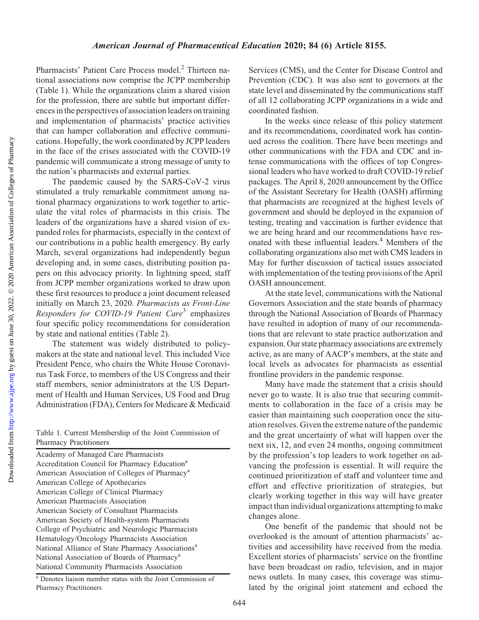Downloaded from

Pharmacists' Patient Care Process model.<sup>2</sup> Thirteen national associations now comprise the JCPP membership (Table 1). While the organizations claim a shared vision for the profession, there are subtle but important differences in the perspectives of association leaders on training and implementation of pharmacists' practice activities that can hamper collaboration and effective communications. Hopefully, the work coordinated by JCPP leaders in the face of the crises associated with the COVID-19 pandemic will communicate a strong message of unity to the nation's pharmacists and external parties.

The pandemic caused by the SARS-CoV-2 virus stimulated a truly remarkable commitment among national pharmacy organizations to work together to articulate the vital roles of pharmacists in this crisis. The leaders of the organizations have a shared vision of expanded roles for pharmacists, especially in the context of our contributions in a public health emergency. By early March, several organizations had independently begun developing and, in some cases, distributing position papers on this advocacy priority. In lightning speed, staff from JCPP member organizations worked to draw upon these first resources to produce a joint document released initially on March 23, 2020. Pharmacists as Front-Line Responders for COVID-19 Patient Care<sup>3</sup> emphasizes four specific policy recommendations for consideration by state and national entities (Table 2).

The statement was widely distributed to policymakers at the state and national level. This included Vice President Pence, who chairs the White House Coronavirus Task Force, to members of the US Congress and their staff members, senior administrators at the US Department of Health and Human Services, US Food and Drug Administration (FDA), Centers for Medicare & Medicaid

| Table 1. Current Membership of the Joint Commission of |  |  |
|--------------------------------------------------------|--|--|
| <b>Pharmacy Practitioners</b>                          |  |  |

Academy of Managed Care Pharmacists Accreditation Council for Pharmacy Education<sup>a</sup> American Association of Colleges of Pharmacy<sup>a</sup> American College of Apothecaries American College of Clinical Pharmacy American Pharmacists Association American Society of Consultant Pharmacists American Society of Health-system Pharmacists College of Psychiatric and Neurologic Pharmacists Hematology/Oncology Pharmacists Association National Alliance of State Pharmacy Associations<sup>a</sup> National Association of Boards of Pharmacy<sup>a</sup> National Community Pharmacists Association

<sup>a</sup> Denotes liaison member status with the Joint Commission of Pharmacy Practitioners

Services (CMS), and the Center for Disease Control and Prevention (CDC). It was also sent to governors at the state level and disseminated by the communications staff of all 12 collaborating JCPP organizations in a wide and coordinated fashion.

In the weeks since release of this policy statement and its recommendations, coordinated work has continued across the coalition. There have been meetings and other communications with the FDA and CDC and intense communications with the offices of top Congressional leaders who have worked to draft COVID-19 relief packages. The April 8, 2020 announcement by the Office of the Assistant Secretary for Health (OASH) affirming that pharmacists are recognized at the highest levels of government and should be deployed in the expansion of testing, treating and vaccination is further evidence that we are being heard and our recommendations have resonated with these influential leaders.4 Members of the collaborating organizations also met with CMS leaders in May for further discussion of tactical issues associated with implementation of the testing provisions of the April OASH announcement.

At the state level, communications with the National Governors Association and the state boards of pharmacy through the National Association of Boards of Pharmacy have resulted in adoption of many of our recommendations that are relevant to state practice authorization and expansion. Our state pharmacy associations are extremely active, as are many of AACP's members, at the state and local levels as advocates for pharmacists as essential frontline providers in the pandemic response.

Many have made the statement that a crisis should never go to waste. It is also true that securing commitments to collaboration in the face of a crisis may be easier than maintaining such cooperation once the situation resolves. Given the extreme nature of the pandemic and the great uncertainty of what will happen over the next six, 12, and even 24 months, ongoing commitment by the profession's top leaders to work together on advancing the profession is essential. It will require the continued prioritization of staff and volunteer time and effort and effective prioritization of strategies, but clearly working together in this way will have greater impact than individual organizations attempting to make changes alone.

One benefit of the pandemic that should not be overlooked is the amount of attention pharmacists' activities and accessibility have received from the media. Excellent stories of pharmacists' service on the frontline have been broadcast on radio, television, and in major news outlets. In many cases, this coverage was stimulated by the original joint statement and echoed the